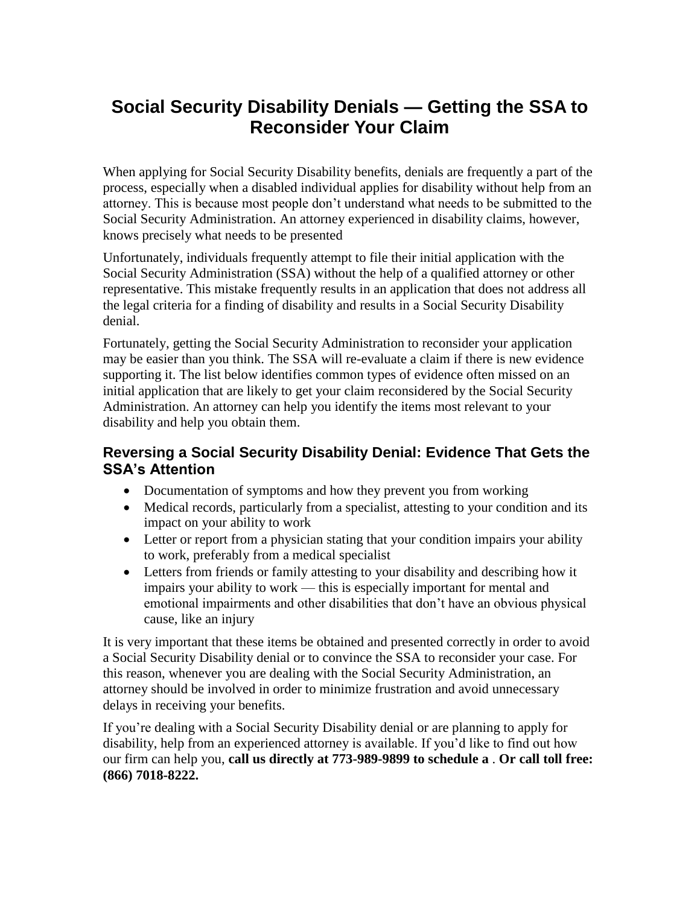## **Social Security Disability Denials — Getting the SSA to Reconsider Your Claim**

When applying for Social Security Disability benefits, denials are frequently a part of the process, especially when a disabled individual applies for disability without help from an attorney. This is because most people don't understand what needs to be submitted to the Social Security Administration. An attorney experienced in disability claims, however, knows precisely what needs to be presented

Unfortunately, individuals frequently attempt to file their initial application with the Social Security Administration (SSA) without the help of a qualified attorney or other representative. This mistake frequently results in an application that does not address all the legal criteria for a finding of disability and results in a Social Security Disability denial.

Fortunately, getting the Social Security Administration to reconsider your application may be easier than you think. The SSA will re-evaluate a claim if there is new evidence supporting it. The list below identifies common types of evidence often missed on an initial application that are likely to get your claim reconsidered by the Social Security Administration. An attorney can help you identify the items most relevant to your disability and help you obtain them.

## **Reversing a Social Security Disability Denial: Evidence That Gets the SSA's Attention**

- Documentation of symptoms and how they prevent you from working
- Medical records, particularly from a specialist, attesting to your condition and its impact on your ability to work
- Letter or report from a physician stating that your condition impairs your ability to work, preferably from a medical specialist
- Letters from friends or family attesting to your disability and describing how it impairs your ability to work — this is especially important for mental and emotional impairments and other disabilities that don't have an obvious physical cause, like an injury

It is very important that these items be obtained and presented correctly in order to avoid a Social Security Disability denial or to convince the SSA to reconsider your case. For this reason, whenever you are dealing with the Social Security Administration, an attorney should be involved in order to minimize frustration and avoid unnecessary delays in receiving your benefits.

If you're dealing with a Social Security Disability denial or are planning to apply for disability, help from an experienced attorney is available. If you'd like to find out how our firm can help you, **call us directly at 773-989-9899 to schedule a** . **Or call toll free: (866) 7018-8222.**